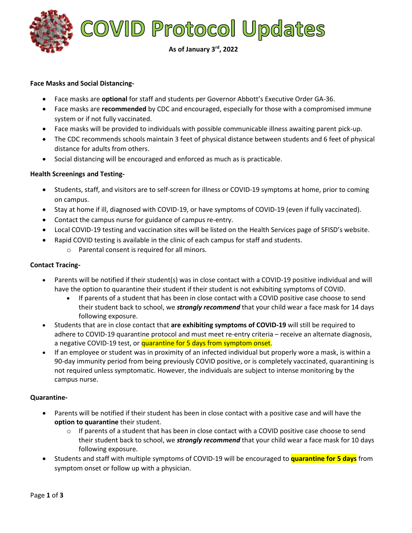

## **Face Masks and Social Distancing-**

- Face masks are **optional** for staff and students per Governor Abbott's Executive Order GA-36.
- Face masks are **recommended** by CDC and encouraged, especially for those with a compromised immune system or if not fully vaccinated.
- Face masks will be provided to individuals with possible communicable illness awaiting parent pick-up.
- The CDC recommends schools maintain 3 feet of physical distance between students and 6 feet of physical distance for adults from others.
- Social distancing will be encouraged and enforced as much as is practicable.

## **Health Screenings and Testing-**

- Students, staff, and visitors are to self-screen for illness or COVID-19 symptoms at home, prior to coming on campus.
- Stay at home if ill, diagnosed with COVID-19, or have symptoms of COVID-19 (even if fully vaccinated).
- Contact the campus nurse for guidance of campus re-entry.
- Local COVID-19 testing and vaccination sites will be listed on the Health Services page of SFISD's website.
- Rapid COVID testing is available in the clinic of each campus for staff and students.
	- o Parental consent is required for all minors.

## **Contact Tracing-**

- Parents will be notified if their student(s) was in close contact with a COVID-19 positive individual and will have the option to quarantine their student if their student is not exhibiting symptoms of COVID.
	- If parents of a student that has been in close contact with a COVID positive case choose to send their student back to school, we *strongly recommend* that your child wear a face mask for 14 days following exposure.
- Students that are in close contact that **are exhibiting symptoms of COVID-19** will still be required to adhere to COVID-19 quarantine protocol and must meet re-entry criteria – receive an alternate diagnosis, a negative COVID-19 test, or quarantine for 5 days from symptom onset.
- If an employee or student was in proximity of an infected individual but properly wore a mask, is within a 90-day immunity period from being previously COVID positive, or is completely vaccinated, quarantining is not required unless symptomatic. However, the individuals are subject to intense monitoring by the campus nurse.

#### **Quarantine-**

- Parents will be notified if their student has been in close contact with a positive case and will have the **option to quarantine** their student.
	- $\circ$  If parents of a student that has been in close contact with a COVID positive case choose to send their student back to school, we *strongly recommend* that your child wear a face mask for 10 days following exposure.
- Students and staff with multiple symptoms of COVID-19 will be encouraged to **quarantine for 5 days** from symptom onset or follow up with a physician.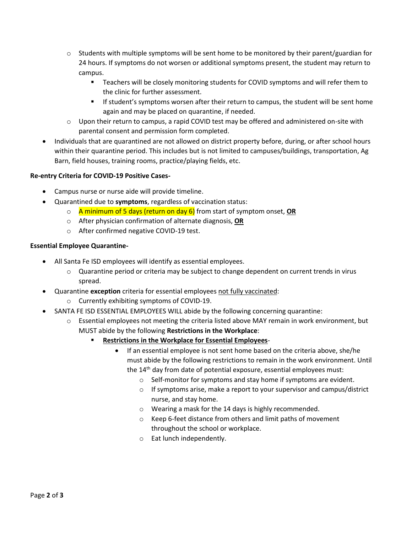- $\circ$  Students with multiple symptoms will be sent home to be monitored by their parent/guardian for 24 hours. If symptoms do not worsen or additional symptoms present, the student may return to campus.
	- Teachers will be closely monitoring students for COVID symptoms and will refer them to the clinic for further assessment.
	- **■** If student's symptoms worsen after their return to campus, the student will be sent home again and may be placed on quarantine, if needed.
- o Upon their return to campus, a rapid COVID test may be offered and administered on-site with parental consent and permission form completed.
- Individuals that are quarantined are not allowed on district property before, during, or after school hours within their quarantine period. This includes but is not limited to campuses/buildings, transportation, Ag Barn, field houses, training rooms, practice/playing fields, etc.

# **Re-entry Criteria for COVID-19 Positive Cases-**

- Campus nurse or nurse aide will provide timeline.
- Quarantined due to **symptoms**, regardless of vaccination status:
	- o A minimum of 5 days (return on day 6) from start of symptom onset, **OR**
	- o After physician confirmation of alternate diagnosis, **OR**
	- o After confirmed negative COVID-19 test.

# **Essential Employee Quarantine-**

- All Santa Fe ISD employees will identify as essential employees.
	- $\circ$  Quarantine period or criteria may be subject to change dependent on current trends in virus spread.
- Quarantine **exception** criteria for essential employees not fully vaccinated:
	- o Currently exhibiting symptoms of COVID-19.
- SANTA FE ISD ESSENTIAL EMPLOYEES WILL abide by the following concerning quarantine:
	- $\circ$  Essential employees not meeting the criteria listed above MAY remain in work environment, but MUST abide by the following **Restrictions in the Workplace**:
		- **Restrictions in the Workplace for Essential Employees-**
			- If an essential employee is not sent home based on the criteria above, she/he must abide by the following restrictions to remain in the work environment. Until the 14th day from date of potential exposure, essential employees must:
				- o Self-monitor for symptoms and stay home if symptoms are evident.
				- o If symptoms arise, make a report to your supervisor and campus/district nurse, and stay home.
				- o Wearing a mask for the 14 days is highly recommended.
				- o Keep 6-feet distance from others and limit paths of movement throughout the school or workplace.
				- o Eat lunch independently.